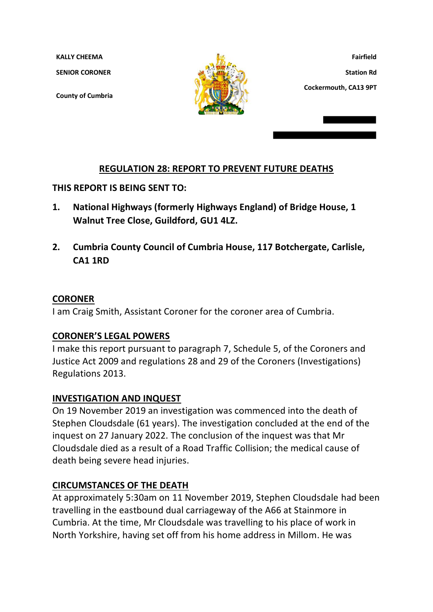**KALLY CHEEMA** 

**SENIOR CORONER**

**County of Cumbria**



**Fairfield Station Rd Cockermouth, CA13 9PT**

## **REGULATION 28: REPORT TO PREVENT FUTURE DEATHS**

**THIS REPORT IS BEING SENT TO:**

- **1. National Highways (formerly Highways England) of Bridge House, 1 Walnut Tree Close, Guildford, GU1 4LZ.**
- **2. Cumbria County Council of Cumbria House, 117 Botchergate, Carlisle, CA1 1RD**

## **CORONER**

I am Craig Smith, Assistant Coroner for the coroner area of Cumbria.

## **CORONER'S LEGAL POWERS**

I make this report pursuant to paragraph 7, Schedule 5, of the Coroners and Justice Act 2009 and regulations 28 and 29 of the Coroners (Investigations) Regulations 2013.

## **INVESTIGATION AND INQUEST**

On 19 November 2019 an investigation was commenced into the death of Stephen Cloudsdale (61 years). The investigation concluded at the end of the inquest on 27 January 2022. The conclusion of the inquest was that Mr Cloudsdale died as a result of a Road Traffic Collision; the medical cause of death being severe head injuries.

## **CIRCUMSTANCES OF THE DEATH**

At approximately 5:30am on 11 November 2019, Stephen Cloudsdale had been travelling in the eastbound dual carriageway of the A66 at Stainmore in Cumbria. At the time, Mr Cloudsdale was travelling to his place of work in North Yorkshire, having set off from his home address in Millom. He was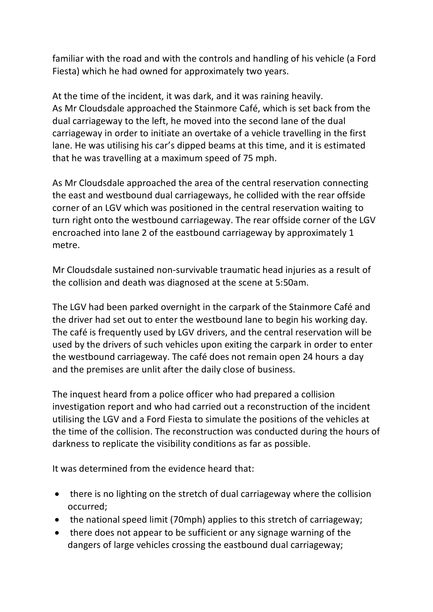familiar with the road and with the controls and handling of his vehicle (a Ford Fiesta) which he had owned for approximately two years.

At the time of the incident, it was dark, and it was raining heavily. As Mr Cloudsdale approached the Stainmore Café, which is set back from the dual carriageway to the left, he moved into the second lane of the dual carriageway in order to initiate an overtake of a vehicle travelling in the first lane. He was utilising his car's dipped beams at this time, and it is estimated that he was travelling at a maximum speed of 75 mph.

As Mr Cloudsdale approached the area of the central reservation connecting the east and westbound dual carriageways, he collided with the rear offside corner of an LGV which was positioned in the central reservation waiting to turn right onto the westbound carriageway. The rear offside corner of the LGV encroached into lane 2 of the eastbound carriageway by approximately 1 metre.

Mr Cloudsdale sustained non-survivable traumatic head injuries as a result of the collision and death was diagnosed at the scene at 5:50am.

The LGV had been parked overnight in the carpark of the Stainmore Café and the driver had set out to enter the westbound lane to begin his working day. The café is frequently used by LGV drivers, and the central reservation will be used by the drivers of such vehicles upon exiting the carpark in order to enter the westbound carriageway. The café does not remain open 24 hours a day and the premises are unlit after the daily close of business.

The inquest heard from a police officer who had prepared a collision investigation report and who had carried out a reconstruction of the incident utilising the LGV and a Ford Fiesta to simulate the positions of the vehicles at the time of the collision. The reconstruction was conducted during the hours of darkness to replicate the visibility conditions as far as possible.

It was determined from the evidence heard that:

- there is no lighting on the stretch of dual carriageway where the collision occurred;
- the national speed limit (70mph) applies to this stretch of carriageway;
- there does not appear to be sufficient or any signage warning of the dangers of large vehicles crossing the eastbound dual carriageway;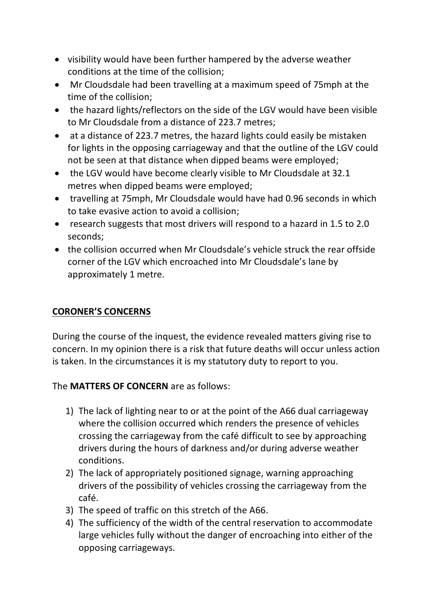- visibility would have been further hampered by the adverse weather conditions at the time of the collision;
- Mr Cloudsdale had been travelling at a maximum speed of 75mph at the time of the collision;
- the hazard lights/reflectors on the side of the LGV would have been visible to Mr Cloudsdale from a distance of 223.7 metres;
- at a distance of 223.7 metres, the hazard lights could easily be mistaken for lights in the opposing carriageway and that the outline of the LGV could not be seen at that distance when dipped beams were employed;
- the LGV would have become clearly visible to Mr Cloudsdale at 32.1 metres when dipped beams were employed;
- travelling at 75mph, Mr Cloudsdale would have had 0.96 seconds in which to take evasive action to avoid a collision;
- research suggests that most drivers will respond to a hazard in 1.5 to 2.0 seconds;
- the collision occurred when Mr Cloudsdale's vehicle struck the rear offside corner of the LGV which encroached into Mr Cloudsdale's lane by approximately 1 metre.

# **CORONER'S CONCERNS**

During the course of the inquest, the evidence revealed matters giving rise to concern. In my opinion there is a risk that future deaths will occur unless action is taken. In the circumstances it is my statutory duty to report to you.

## The **MATTERS OF CONCERN** are as follows:

- 1) The lack of lighting near to or at the point of the A66 dual carriageway where the collision occurred which renders the presence of vehicles crossing the carriageway from the café difficult to see by approaching drivers during the hours of darkness and/or during adverse weather conditions.
- 2) The lack of appropriately positioned signage, warning approaching drivers of the possibility of vehicles crossing the carriageway from the café.
- 3) The speed of traffic on this stretch of the A66.
- 4) The sufficiency of the width of the central reservation to accommodate large vehicles fully without the danger of encroaching into either of the opposing carriageways.